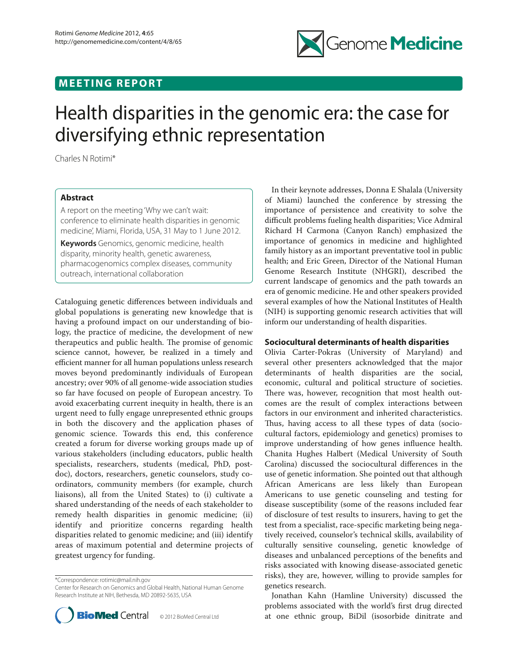## **MEETING REPORT**



# Health disparities in the genomic era: the case for diversifying ethnic representation

Charles N Rotimi\*

### **Abstract**

A report on the meeting 'Why we can't wait: conference to eliminate health disparities in genomic medicine', Miami, Florida, USA, 31 May to 1 June 2012.

**Keywords** Genomics, genomic medicine, health disparity, minority health, genetic awareness, pharmacogenomics complex diseases, community outreach, international collaboration

Cataloguing genetic differences between individuals and global populations is generating new knowledge that is having a profound impact on our understanding of biology, the practice of medicine, the development of new therapeutics and public health. The promise of genomic science cannot, however, be realized in a timely and efficient manner for all human populations unless research moves beyond predominantly individuals of European ancestry; over 90% of all genome-wide association studies so far have focused on people of European ancestry. To avoid exacerbating current inequity in health, there is an urgent need to fully engage unrepresented ethnic groups in both the discovery and the application phases of genomic science. Towards this end, this conference created a forum for diverse working groups made up of various stakeholders (including educators, public health specialists, researchers, students (medical, PhD, postdoc), doctors, researchers, genetic counselors, study coordinators, community members (for example, church liaisons), all from the United States) to (i) cultivate a shared understanding of the needs of each stakeholder to remedy health disparities in genomic medicine; (ii) identify and prioritize concerns regarding health disparities related to genomic medicine; and (iii) identify areas of maximum potential and determine projects of greatest urgency for funding.

\*Correspondence: rotimic@mail.nih.gov

Center for Research on Genomics and Global Health, National Human Genome Research Institute at NIH, Bethesda, MD 20892-5635, USA



In their keynote addresses, Donna E Shalala (University of Miami) launched the conference by stressing the importance of persistence and creativity to solve the difficult problems fueling health disparities; Vice Admiral Richard H Carmona (Canyon Ranch) emphasized the importance of genomics in medicine and highlighted family history as an important preventative tool in public health; and Eric Green, Director of the National Human Genome Research Institute (NHGRI), described the current landscape of genomics and the path towards an era of genomic medicine. He and other speakers provided several examples of how the National Institutes of Health (NIH) is supporting genomic research activities that will inform our understanding of health disparities.

#### **Sociocultural determinants of health disparities**

Olivia Carter-Pokras (University of Maryland) and several other presenters acknowledged that the major determinants of health disparities are the social, economic, cultural and political structure of societies. There was, however, recognition that most health outcomes are the result of complex interactions between factors in our environment and inherited characteristics. Thus, having access to all these types of data (sociocultural factors, epidemiology and genetics) promises to improve understanding of how genes influence health. Chanita Hughes Halbert (Medical University of South Carolina) discussed the sociocultural differences in the use of genetic information. She pointed out that although African Americans are less likely than European Americans to use genetic counseling and testing for disease susceptibility (some of the reasons included fear of disclosure of test results to insurers, having to get the test from a specialist, race-specific marketing being negatively received, counselor's technical skills, availability of culturally sensitive counseling, genetic knowledge of diseases and unbalanced perceptions of the benefits and risks associated with knowing disease-associated genetic risks), they are, however, willing to provide samples for genetics research.

Jonathan Kahn (Hamline University) discussed the problems associated with the world's first drug directed at one ethnic group, BiDil (isosorbide dinitrate and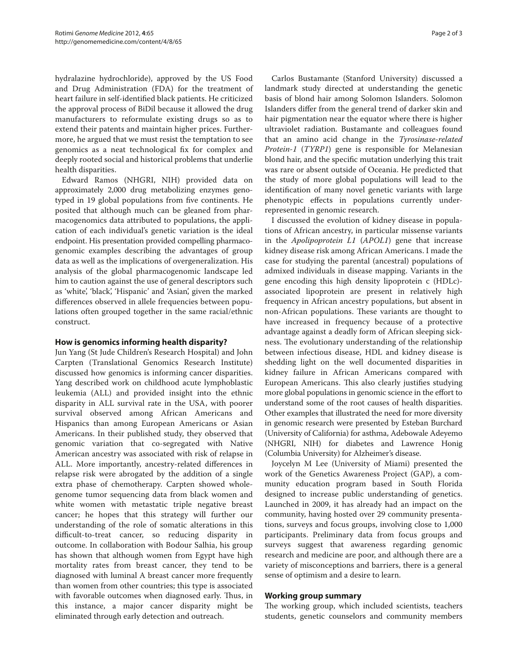hydralazine hydrochloride), approved by the US Food and Drug Administration (FDA) for the treatment of heart failure in self-identified black patients. He criticized the approval process of BiDil because it allowed the drug manufacturers to reformulate existing drugs so as to extend their patents and maintain higher prices. Furthermore, he argued that we must resist the temptation to see genomics as a neat technological fix for complex and deeply rooted social and historical problems that underlie health disparities.

Edward Ramos (NHGRI, NIH) provided data on approximately 2,000 drug metabolizing enzymes genotyped in 19 global populations from five continents. He posited that although much can be gleaned from pharmacogenomics data attributed to populations, the application of each individual's genetic variation is the ideal endpoint. His presentation provided compelling pharmacogenomic examples describing the advantages of group data as well as the implications of overgeneralization. His analysis of the global pharmacogenomic landscape led him to caution against the use of general descriptors such as 'white', 'black', 'Hispanic' and 'Asian', given the marked differences observed in allele frequencies between populations often grouped together in the same racial/ethnic construct.

#### **How is genomics informing health disparity?**

Jun Yang (St Jude Children's Research Hospital) and John Carpten (Translational Genomics Research Institute) discussed how genomics is informing cancer disparities. Yang described work on childhood acute lymphoblastic leukemia (ALL) and provided insight into the ethnic disparity in ALL survival rate in the USA, with poorer survival observed among African Americans and Hispanics than among European Americans or Asian Americans. In their published study, they observed that genomic variation that co-segregated with Native American ancestry was associated with risk of relapse in ALL. More importantly, ancestry-related differences in relapse risk were abrogated by the addition of a single extra phase of chemotherapy. Carpten showed wholegenome tumor sequencing data from black women and white women with metastatic triple negative breast cancer; he hopes that this strategy will further our understanding of the role of somatic alterations in this difficult-to-treat cancer, so reducing disparity in outcome. In collaboration with Bodour Salhia, his group has shown that although women from Egypt have high mortality rates from breast cancer, they tend to be diagnosed with luminal A breast cancer more frequently than women from other countries; this type is associated with favorable outcomes when diagnosed early. Thus, in this instance, a major cancer disparity might be eliminated through early detection and outreach.

Carlos Bustamante (Stanford University) discussed a landmark study directed at understanding the genetic basis of blond hair among Solomon Islanders. Solomon Islanders differ from the general trend of darker skin and hair pigmentation near the equator where there is higher ultraviolet radiation. Bustamante and colleagues found that an amino acid change in the *Tyrosinase-related Protein-1* (*TYRP1*) gene is responsible for Melanesian blond hair, and the specific mutation underlying this trait was rare or absent outside of Oceania. He predicted that the study of more global populations will lead to the identification of many novel genetic variants with large phenotypic effects in populations currently underrepresented in genomic research.

I discussed the evolution of kidney disease in populations of African ancestry, in particular missense variants in the *Apolipoprotein L1* (*APOL1*) gene that increase kidney disease risk among African Americans. I made the case for studying the parental (ancestral) populations of admixed individuals in disease mapping. Variants in the gene encoding this high density lipoprotein c (HDLc)associated lipoprotein are present in relatively high frequency in African ancestry populations, but absent in non-African populations. These variants are thought to have increased in frequency because of a protective advantage against a deadly form of African sleeping sickness. The evolutionary understanding of the relationship between infectious disease, HDL and kidney disease is shedding light on the well documented disparities in kidney failure in African Americans compared with European Americans. This also clearly justifies studying more global populations in genomic science in the effort to understand some of the root causes of health disparities. Other examples that illustrated the need for more diversity in genomic research were presented by Esteban Burchard (University of California) for asthma, Adebowale Adeyemo (NHGRI, NIH) for diabetes and Lawrence Honig (Columbia University) for Alzheimer's disease.

Joycelyn M Lee (University of Miami) presented the work of the Genetics Awareness Project (GAP), a community education program based in South Florida designed to increase public understanding of genetics. Launched in 2009, it has already had an impact on the community, having hosted over 29 community presentations, surveys and focus groups, involving close to 1,000 participants. Preliminary data from focus groups and surveys suggest that awareness regarding genomic research and medicine are poor, and although there are a variety of misconceptions and barriers, there is a general sense of optimism and a desire to learn.

#### **Working group summary**

The working group, which included scientists, teachers students, genetic counselors and community members